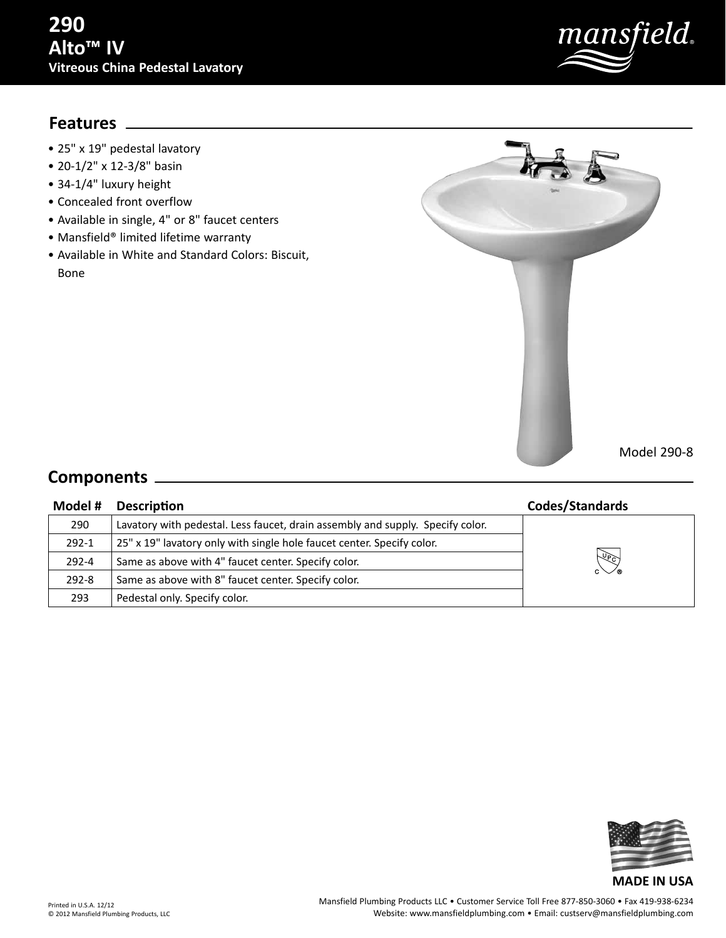# mansfield.

## **Features**

- 25" x 19" pedestal lavatory
- 20-1/2" x 12-3/8" basin
- 34-1/4" luxury height
- Concealed front overflow
- Available in single, 4" or 8" faucet centers
- Mansfield® limited lifetime warranty
- Available in White and Standard Colors: Biscuit, Bone



## **Components**

### **Model # Description Codes/Standards** 290 Lavatory with pedestal. Less faucet, drain assembly and supply. Specify color. 292-1  $\|$  25" x 19" lavatory only with single hole faucet center. Specify color. 292-4 Same as above with 4" faucet center. Specify color. 292-8  $\vert$  Same as above with 8" faucet center. Specify color. 293 Pedestal only. Specify color.



#### Printed in U.S.A. 12/12 © 2012 Mansfield Plumbing Products, LLC